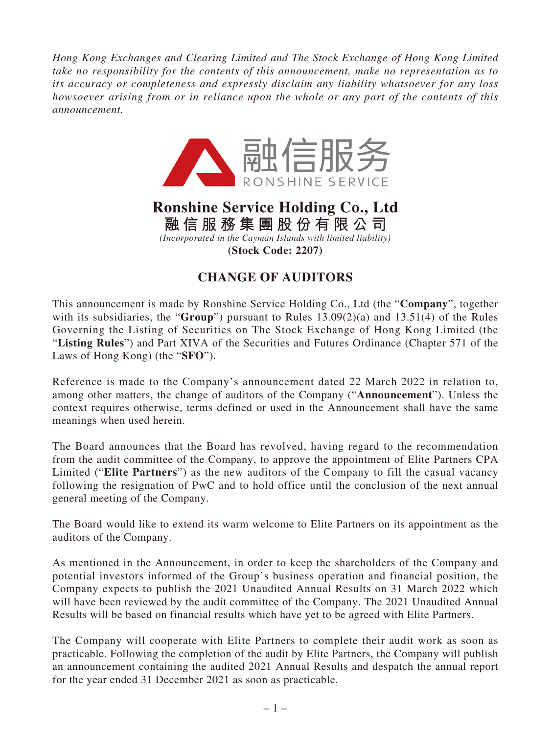*Hong Kong Exchanges and Clearing Limited and The Stock Exchange of Hong Kong Limited take no responsibility for the contents of this announcement, make no representation as to its accuracy or completeness and expressly disclaim any liability whatsoever for any loss howsoever arising from or in reliance upon the whole or any part of the contents of this announcement.*



## **Ronshine Service Holding Co., Ltd 融信服務集團股份有限公司** *(Incorporated in the Cayman Islands with limited liability)* **(Stock Code: 2207)**

## **CHANGE OF AUDITORS**

This announcement is made by Ronshine Service Holding Co., Ltd (the "**Company**", together with its subsidiaries, the "**Group**") pursuant to Rules 13.09(2)(a) and 13.51(4) of the Rules Governing the Listing of Securities on The Stock Exchange of Hong Kong Limited (the "**Listing Rules**") and Part XIVA of the Securities and Futures Ordinance (Chapter 571 of the Laws of Hong Kong) (the "**SFO**").

Reference is made to the Company's announcement dated 22 March 2022 in relation to, among other matters, the change of auditors of the Company ("**Announcement**"). Unless the context requires otherwise, terms defined or used in the Announcement shall have the same meanings when used herein.

The Board announces that the Board has revolved, having regard to the recommendation from the audit committee of the Company, to approve the appointment of Elite Partners CPA Limited ("**Elite Partners**") as the new auditors of the Company to fill the casual vacancy following the resignation of PwC and to hold office until the conclusion of the next annual general meeting of the Company.

The Board would like to extend its warm welcome to Elite Partners on its appointment as the auditors of the Company.

As mentioned in the Announcement, in order to keep the shareholders of the Company and potential investors informed of the Group's business operation and financial position, the Company expects to publish the 2021 Unaudited Annual Results on 31 March 2022 which will have been reviewed by the audit committee of the Company. The 2021 Unaudited Annual Results will be based on financial results which have yet to be agreed with Elite Partners.

The Company will cooperate with Elite Partners to complete their audit work as soon as practicable. Following the completion of the audit by Elite Partners, the Company will publish an announcement containing the audited 2021 Annual Results and despatch the annual report for the year ended 31 December 2021 as soon as practicable.